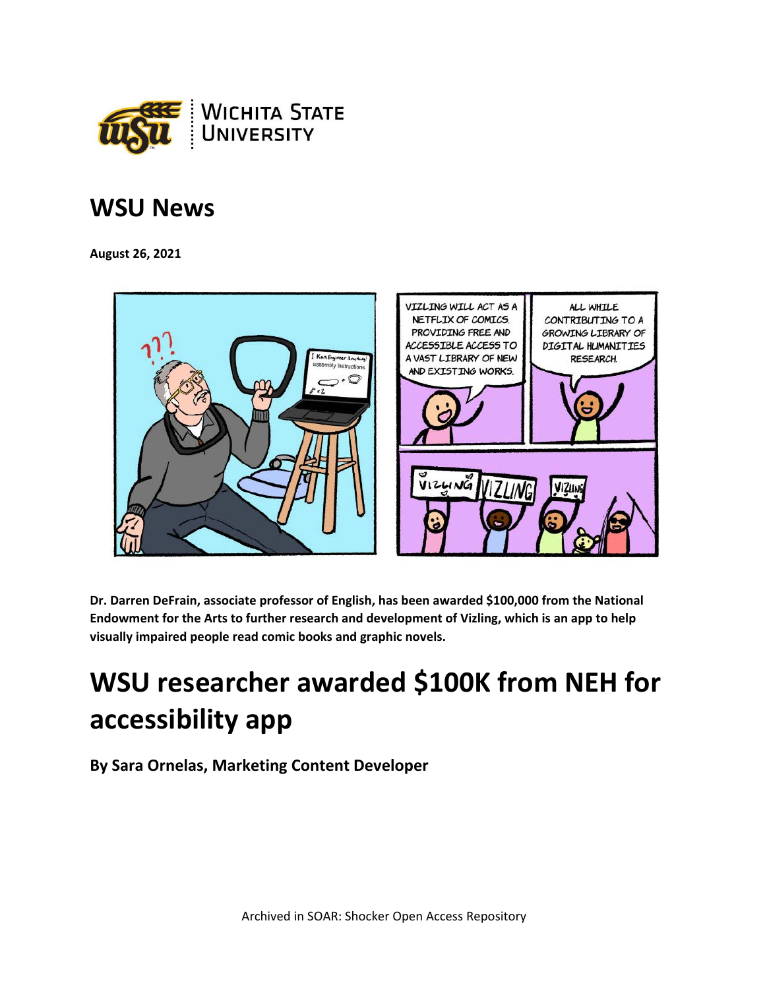

## **WSU News**

**August 26, 2021**



**Dr. Darren DeFrain, associate professor of English, has been awarded \$100,000 from the National Endowment for the Arts to further research and development of Vizling, which is an app to help visually impaired people read comic books and graphic novels.**

## **WSU researcher awarded \$100K from NEH for accessibility app**

**By Sara Ornelas, Marketing Content Developer**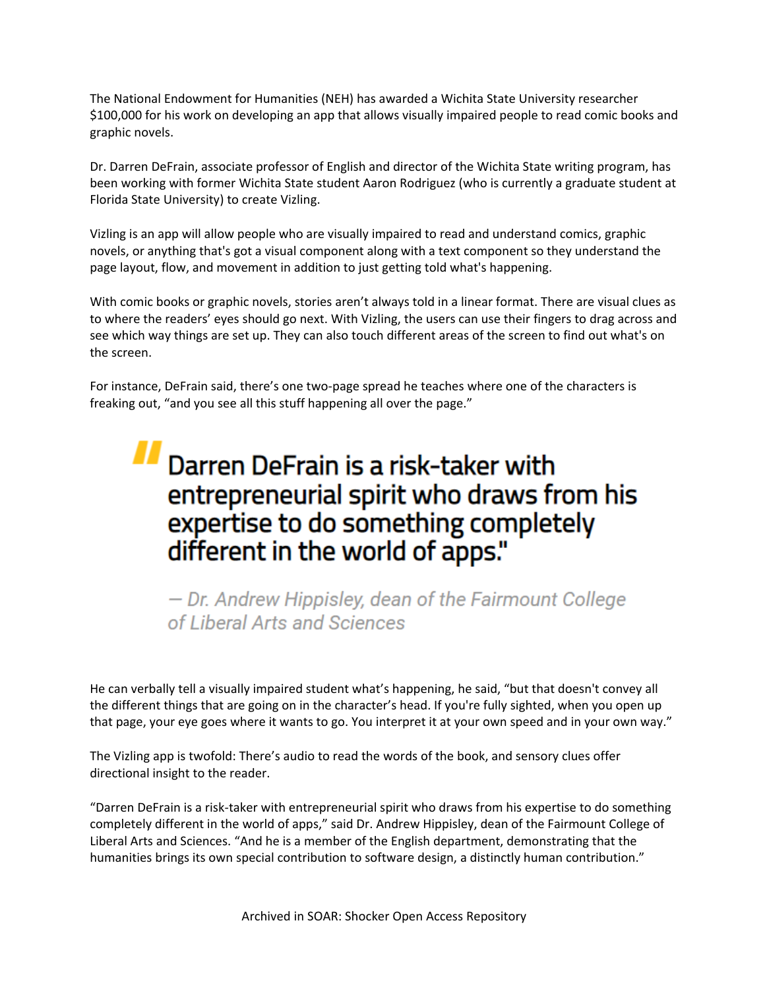The National Endowment for Humanities (NEH) has awarded a Wichita State University researcher \$100,000 for his work on developing an app that allows visually impaired people to read comic books and graphic novels.

Dr. Darren DeFrain, associate professor of English and director of the Wichita State writing program, has been working with former Wichita State student Aaron Rodriguez (who is currently a graduate student at Florida State University) to create Vizling.

Vizling is an app will allow people who are visually impaired to read and understand comics, graphic novels, or anything that's got a visual component along with a text component so they understand the page layout, flow, and movement in addition to just getting told what's happening.

With comic books or graphic novels, stories aren't always told in a linear format. There are visual clues as to where the readers' eyes should go next. With Vizling, the users can use their fingers to drag across and see which way things are set up. They can also touch different areas of the screen to find out what's on the screen.

For instance, DeFrain said, there's one two-page spread he teaches where one of the characters is freaking out, "and you see all this stuff happening all over the page."

## $\blacksquare$  Darren DeFrain is a risk-taker with entrepreneurial spirit who draws from his<br>expertise to do something completely expertise to do something completely different in the world of apps."

- Dr. Andrew Hippis/ey, dean of the Fairmount College of Liberal Arts and Sciences

He can verbally tell a visually impaired student what's happening, he said, "but that doesn't convey all the different things that are going on in the character's head. If you're fully sighted, when you open up that page, your eye goes where it wants to go. You interpret it at your own speed and in your own way."

The Vizling app is twofold: There's audio to read the words of the book, and sensory clues offer directional insight to the reader.

"Darren DeFrain is a risk-taker with entrepreneurial spirit who draws from his expertise to do something completely different in the world of apps," said Dr. Andrew Hippisley, dean of the Fairmount College of Liberal Arts and Sciences. "And he is a member of the English department, demonstrating that the humanities brings its own special contribution to software design, a distinctly human contribution."